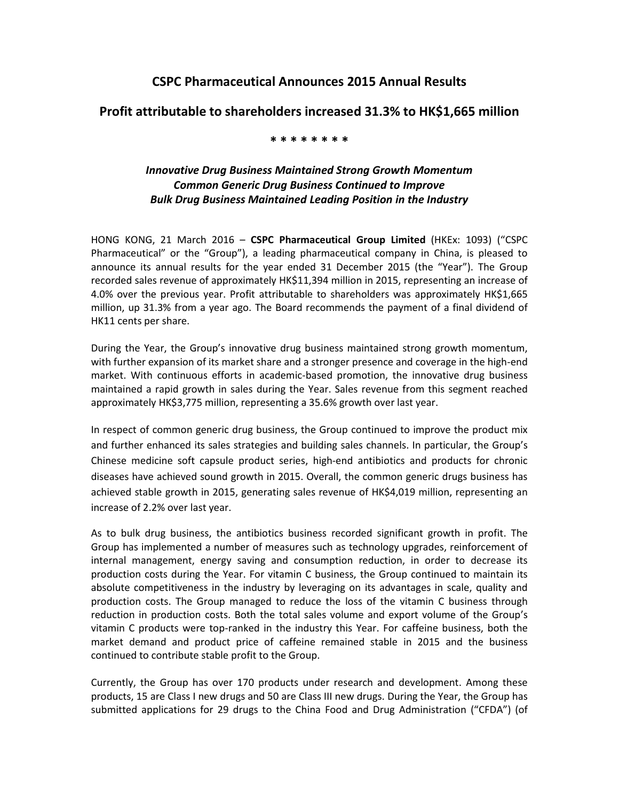# **CSPC Pharmaceutical Announces 2015 Annual Results**

### **Profit attributable to shareholders increased 31.3% to HK\$1,665 million**

### **\* \* \* \* \* \* \* \***

## *Innovative Drug Business Maintained Strong Growth Momentum Common Generic Drug Business Continued to Improve Bulk Drug Business Maintained Leading Position in the Industry*

HONG KONG, 21 March 2016 – **CSPC Pharmaceutical Group Limited** (HKEx: 1093) ("CSPC Pharmaceutical" or the "Group"), a leading pharmaceutical company in China, is pleased to announce its annual results for the year ended 31 December 2015 (the "Year"). The Group recorded sales revenue of approximately HK\$11,394 million in 2015, representing an increase of 4.0% over the previous year. Profit attributable to shareholders was approximately HK\$1,665 million, up 31.3% from a year ago. The Board recommends the payment of a final dividend of HK11 cents per share.

During the Year, the Group's innovative drug business maintained strong growth momentum, with further expansion of its market share and a stronger presence and coverage in the high-end market. With continuous efforts in academic-based promotion, the innovative drug business maintained a rapid growth in sales during the Year. Sales revenue from this segment reached approximately HK\$3,775 million, representing a 35.6% growth over last year.

In respect of common generic drug business, the Group continued to improve the product mix and further enhanced its sales strategies and building sales channels. In particular, the Group's Chinese medicine soft capsule product series, high-end antibiotics and products for chronic diseases have achieved sound growth in 2015. Overall, the common generic drugs business has achieved stable growth in 2015, generating sales revenue of HK\$4,019 million, representing an increase of 2.2% over last year.

As to bulk drug business, the antibiotics business recorded significant growth in profit. The Group has implemented a number of measures such as technology upgrades, reinforcement of internal management, energy saving and consumption reduction, in order to decrease its production costs during the Year. For vitamin C business, the Group continued to maintain its absolute competitiveness in the industry by leveraging on its advantages in scale, quality and production costs. The Group managed to reduce the loss of the vitamin C business through reduction in production costs. Both the total sales volume and export volume of the Group's vitamin C products were top-ranked in the industry this Year. For caffeine business, both the market demand and product price of caffeine remained stable in 2015 and the business continued to contribute stable profit to the Group.

Currently, the Group has over 170 products under research and development. Among these products, 15 are Class I new drugs and 50 are Class III new drugs. During the Year, the Group has submitted applications for 29 drugs to the China Food and Drug Administration ("CFDA") (of